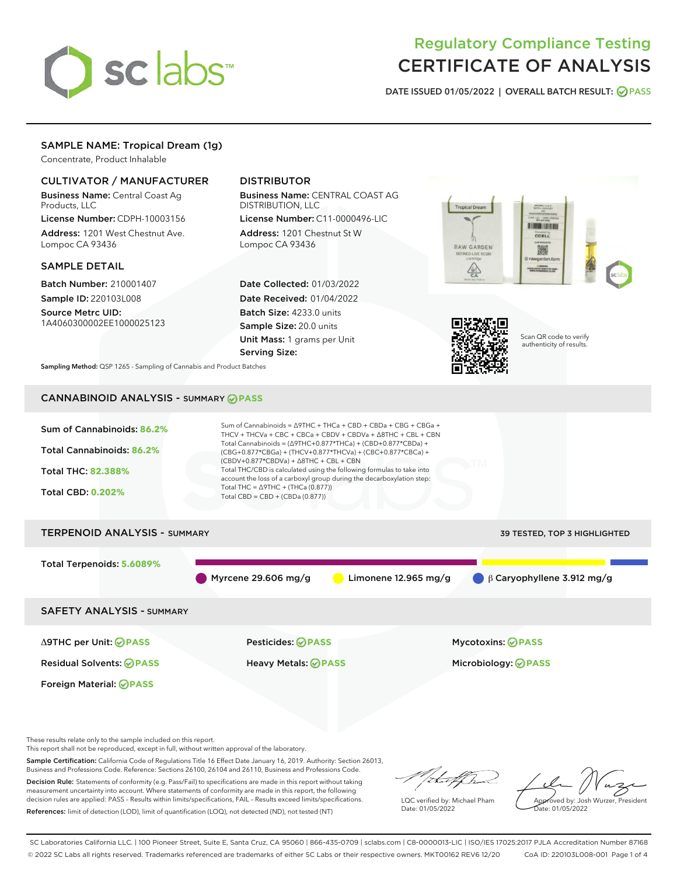

# Regulatory Compliance Testing CERTIFICATE OF ANALYSIS

DATE ISSUED 01/05/2022 | OVERALL BATCH RESULT: @ PASS

# SAMPLE NAME: Tropical Dream (1g)

Concentrate, Product Inhalable

# CULTIVATOR / MANUFACTURER

Business Name: Central Coast Ag Products, LLC

License Number: CDPH-10003156 Address: 1201 West Chestnut Ave. Lompoc CA 93436

### SAMPLE DETAIL

Batch Number: 210001407 Sample ID: 220103L008

Source Metrc UID: 1A4060300002EE1000025123

# DISTRIBUTOR

Business Name: CENTRAL COAST AG DISTRIBUTION, LLC

License Number: C11-0000496-LIC Address: 1201 Chestnut St W Lompoc CA 93436

Date Collected: 01/03/2022 Date Received: 01/04/2022 Batch Size: 4233.0 units Sample Size: 20.0 units Unit Mass: 1 grams per Unit Serving Size:





Scan QR code to verify authenticity of results.

Sampling Method: QSP 1265 - Sampling of Cannabis and Product Batches

# CANNABINOID ANALYSIS - SUMMARY **PASS**



This report shall not be reproduced, except in full, without written approval of the laboratory.

Sample Certification: California Code of Regulations Title 16 Effect Date January 16, 2019. Authority: Section 26013, Business and Professions Code. Reference: Sections 26100, 26104 and 26110, Business and Professions Code.

Decision Rule: Statements of conformity (e.g. Pass/Fail) to specifications are made in this report without taking measurement uncertainty into account. Where statements of conformity are made in this report, the following decision rules are applied: PASS – Results within limits/specifications, FAIL – Results exceed limits/specifications. References: limit of detection (LOD), limit of quantification (LOQ), not detected (ND), not tested (NT)

that f h

LQC verified by: Michael Pham Date: 01/05/2022

Approved by: Josh Wurzer, President ate: 01/05/2022

SC Laboratories California LLC. | 100 Pioneer Street, Suite E, Santa Cruz, CA 95060 | 866-435-0709 | sclabs.com | C8-0000013-LIC | ISO/IES 17025:2017 PJLA Accreditation Number 87168 © 2022 SC Labs all rights reserved. Trademarks referenced are trademarks of either SC Labs or their respective owners. MKT00162 REV6 12/20 CoA ID: 220103L008-001 Page 1 of 4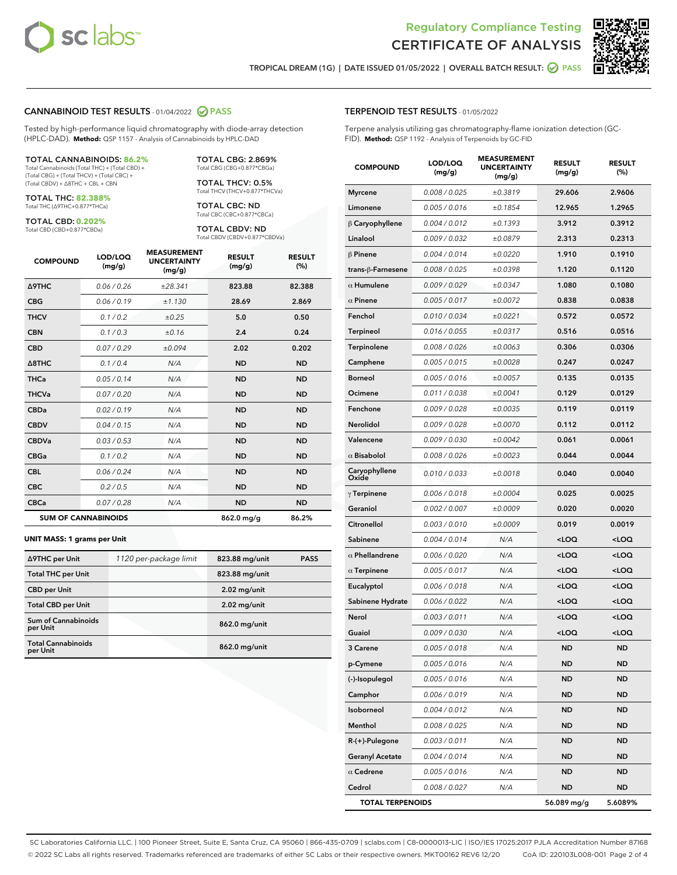



TROPICAL DREAM (1G) | DATE ISSUED 01/05/2022 | OVERALL BATCH RESULT: **● PASS** 

#### CANNABINOID TEST RESULTS - 01/04/2022 2 PASS

Tested by high-performance liquid chromatography with diode-array detection (HPLC-DAD). **Method:** QSP 1157 - Analysis of Cannabinoids by HPLC-DAD

#### TOTAL CANNABINOIDS: **86.2%**

Total Cannabinoids (Total THC) + (Total CBD) + (Total CBG) + (Total THCV) + (Total CBC) + (Total CBDV) + ∆8THC + CBL + CBN

TOTAL THC: **82.388%** Total THC (∆9THC+0.877\*THCa)

TOTAL CBD: **0.202%**

Total CBD (CBD+0.877\*CBDa)

TOTAL CBG: 2.869% Total CBG (CBG+0.877\*CBGa)

TOTAL THCV: 0.5% Total THCV (THCV+0.877\*THCVa)

TOTAL CBC: ND Total CBC (CBC+0.877\*CBCa)

TOTAL CBDV: ND Total CBDV (CBDV+0.877\*CBDVa)

| <b>COMPOUND</b>            | LOD/LOQ<br>(mg/g) | <b>MEASUREMENT</b><br><b>UNCERTAINTY</b><br>(mg/g) | <b>RESULT</b><br>(mg/g) | <b>RESULT</b><br>(%) |
|----------------------------|-------------------|----------------------------------------------------|-------------------------|----------------------|
| Δ9THC                      | 0.06 / 0.26       | ±28.341                                            | 823.88                  | 82.388               |
| <b>CBG</b>                 | 0.06 / 0.19       | ±1.130                                             | 28.69                   | 2.869                |
| <b>THCV</b>                | 0.1 / 0.2         | ±0.25                                              | 5.0                     | 0.50                 |
| <b>CBN</b>                 | 0.1/0.3           | ±0.16                                              | 2.4                     | 0.24                 |
| <b>CBD</b>                 | 0.07/0.29         | ±0.094                                             | 2.02                    | 0.202                |
| $\triangle$ 8THC           | 0.1/0.4           | N/A                                                | <b>ND</b>               | <b>ND</b>            |
| <b>THCa</b>                | 0.05/0.14         | N/A                                                | <b>ND</b>               | <b>ND</b>            |
| <b>THCVa</b>               | 0.07/0.20         | N/A                                                | <b>ND</b>               | <b>ND</b>            |
| <b>CBDa</b>                | 0.02/0.19         | N/A                                                | <b>ND</b>               | <b>ND</b>            |
| <b>CBDV</b>                | 0.04 / 0.15       | N/A                                                | <b>ND</b>               | <b>ND</b>            |
| <b>CBDVa</b>               | 0.03/0.53         | N/A                                                | <b>ND</b>               | <b>ND</b>            |
| <b>CBGa</b>                | 0.1 / 0.2         | N/A                                                | <b>ND</b>               | <b>ND</b>            |
| <b>CBL</b>                 | 0.06 / 0.24       | N/A                                                | <b>ND</b>               | <b>ND</b>            |
| <b>CBC</b>                 | 0.2 / 0.5         | N/A                                                | <b>ND</b>               | <b>ND</b>            |
| <b>CBCa</b>                | 0.07 / 0.28       | N/A                                                | <b>ND</b>               | <b>ND</b>            |
| <b>SUM OF CANNABINOIDS</b> |                   |                                                    | $862.0$ mg/g            | 86.2%                |

#### **UNIT MASS: 1 grams per Unit**

| ∆9THC per Unit                        | 1120 per-package limit | 823.88 mg/unit | <b>PASS</b> |
|---------------------------------------|------------------------|----------------|-------------|
| <b>Total THC per Unit</b>             |                        | 823.88 mg/unit |             |
| <b>CBD</b> per Unit                   |                        | $2.02$ mg/unit |             |
| <b>Total CBD per Unit</b>             |                        | $2.02$ mg/unit |             |
| Sum of Cannabinoids<br>per Unit       |                        | 862.0 mg/unit  |             |
| <b>Total Cannabinoids</b><br>per Unit |                        | 862.0 mg/unit  |             |

# TERPENOID TEST RESULTS - 01/05/2022

Terpene analysis utilizing gas chromatography-flame ionization detection (GC-FID). **Method:** QSP 1192 - Analysis of Terpenoids by GC-FID

| <b>COMPOUND</b>         | LOD/LOQ<br>(mg/g) | <b>MEASUREMENT</b><br><b>UNCERTAINTY</b><br>(mg/g) | <b>RESULT</b><br>(mg/g)                         | <b>RESULT</b><br>$(\%)$ |
|-------------------------|-------------------|----------------------------------------------------|-------------------------------------------------|-------------------------|
| <b>Myrcene</b>          | 0.008 / 0.025     | ±0.3819                                            | 29.606                                          | 2.9606                  |
| Limonene                | 0.005 / 0.016     | ±0.1854                                            | 12.965                                          | 1.2965                  |
| $\beta$ Caryophyllene   | 0.004 / 0.012     | ±0.1393                                            | 3.912                                           | 0.3912                  |
| Linalool                | 0.009 / 0.032     | ±0.0879                                            | 2.313                                           | 0.2313                  |
| <b>β Pinene</b>         | 0.004 / 0.014     | ±0.0220                                            | 1.910                                           | 0.1910                  |
| trans-β-Farnesene       | 0.008 / 0.025     | ±0.0398                                            | 1.120                                           | 0.1120                  |
| $\alpha$ Humulene       | 0.009 / 0.029     | ±0.0347                                            | 1.080                                           | 0.1080                  |
| $\alpha$ Pinene         | 0.005 / 0.017     | ±0.0072                                            | 0.838                                           | 0.0838                  |
| Fenchol                 | 0.010 / 0.034     | ±0.0221                                            | 0.572                                           | 0.0572                  |
| Terpineol               | 0.016 / 0.055     | ±0.0317                                            | 0.516                                           | 0.0516                  |
| Terpinolene             | 0.008 / 0.026     | ±0.0063                                            | 0.306                                           | 0.0306                  |
| Camphene                | 0.005 / 0.015     | ±0.0028                                            | 0.247                                           | 0.0247                  |
| <b>Borneol</b>          | 0.005 / 0.016     | ±0.0057                                            | 0.135                                           | 0.0135                  |
| Ocimene                 | 0.011/0.038       | ±0.0041                                            | 0.129                                           | 0.0129                  |
| Fenchone                | 0.009 / 0.028     | ±0.0035                                            | 0.119                                           | 0.0119                  |
| Nerolidol               | 0.009 / 0.028     | ±0.0070                                            | 0.112                                           | 0.0112                  |
| Valencene               | 0.009 / 0.030     | ±0.0042                                            | 0.061                                           | 0.0061                  |
| $\alpha$ Bisabolol      | 0.008 / 0.026     | ±0.0023                                            | 0.044                                           | 0.0044                  |
| Caryophyllene<br>Oxide  | 0.010 / 0.033     | ±0.0018                                            | 0.040                                           | 0.0040                  |
| $\gamma$ Terpinene      | 0.006 / 0.018     | ±0.0004                                            | 0.025                                           | 0.0025                  |
| Geraniol                | 0.002 / 0.007     | ±0.0009                                            | 0.020                                           | 0.0020                  |
| Citronellol             | 0.003 / 0.010     | ±0.0009                                            | 0.019                                           | 0.0019                  |
| Sabinene                | 0.004 / 0.014     | N/A                                                | <loq< th=""><th><loq< th=""></loq<></th></loq<> | <loq< th=""></loq<>     |
| $\alpha$ Phellandrene   | 0.006 / 0.020     | N/A                                                | <loq< th=""><th><loq< th=""></loq<></th></loq<> | <loq< th=""></loq<>     |
| $\alpha$ Terpinene      | 0.005 / 0.017     | N/A                                                | <loq< th=""><th><loq< th=""></loq<></th></loq<> | <loq< th=""></loq<>     |
| Eucalyptol              | 0.006 / 0.018     | N/A                                                | <loq< th=""><th><loq< th=""></loq<></th></loq<> | <loq< th=""></loq<>     |
| Sabinene Hydrate        | 0.006 / 0.022     | N/A                                                | <loq< th=""><th><loq< th=""></loq<></th></loq<> | <loq< th=""></loq<>     |
| Nerol                   | 0.003 / 0.011     | N/A                                                | <loq< th=""><th><loq< th=""></loq<></th></loq<> | <loq< th=""></loq<>     |
| Guaiol                  | 0.009 / 0.030     | N/A                                                | <loq< th=""><th><loq< th=""></loq<></th></loq<> | <loq< th=""></loq<>     |
| 3 Carene                | 0.005 / 0.018     | N/A                                                | <b>ND</b>                                       | ND                      |
| p-Cymene                | 0.005 / 0.016     | N/A                                                | ND                                              | ND                      |
| (-)-Isopulegol          | 0.005 / 0.016     | N/A                                                | ND                                              | ND                      |
| Camphor                 | 0.006 / 0.019     | N/A                                                | <b>ND</b>                                       | ND                      |
| Isoborneol              | 0.004 / 0.012     | N/A                                                | ND                                              | ND                      |
| Menthol                 | 0.008 / 0.025     | N/A                                                | ND                                              | ND                      |
| R-(+)-Pulegone          | 0.003 / 0.011     | N/A                                                | ND                                              | ND                      |
| <b>Geranyl Acetate</b>  | 0.004 / 0.014     | N/A                                                | ND                                              | ND                      |
| $\alpha$ Cedrene        | 0.005 / 0.016     | N/A                                                | ND                                              | ND                      |
| Cedrol                  | 0.008 / 0.027     | N/A                                                | <b>ND</b>                                       | ND                      |
| <b>TOTAL TERPENOIDS</b> |                   |                                                    | 56.089 mg/g                                     | 5.6089%                 |

SC Laboratories California LLC. | 100 Pioneer Street, Suite E, Santa Cruz, CA 95060 | 866-435-0709 | sclabs.com | C8-0000013-LIC | ISO/IES 17025:2017 PJLA Accreditation Number 87168 © 2022 SC Labs all rights reserved. Trademarks referenced are trademarks of either SC Labs or their respective owners. MKT00162 REV6 12/20 CoA ID: 220103L008-001 Page 2 of 4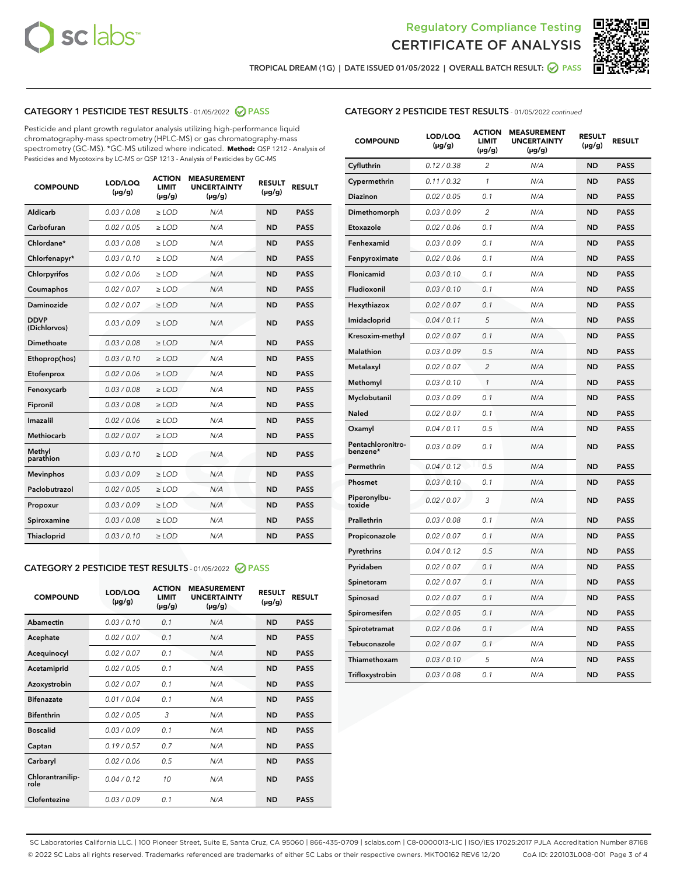



TROPICAL DREAM (1G) | DATE ISSUED 01/05/2022 | OVERALL BATCH RESULT:  $\bigcirc$  PASS

# CATEGORY 1 PESTICIDE TEST RESULTS - 01/05/2022 2 PASS

Pesticide and plant growth regulator analysis utilizing high-performance liquid chromatography-mass spectrometry (HPLC-MS) or gas chromatography-mass spectrometry (GC-MS). \*GC-MS utilized where indicated. **Method:** QSP 1212 - Analysis of Pesticides and Mycotoxins by LC-MS or QSP 1213 - Analysis of Pesticides by GC-MS

| <b>Aldicarb</b><br>0.03 / 0.08<br><b>ND</b><br>$\ge$ LOD<br>N/A<br><b>PASS</b><br>Carbofuran<br>0.02/0.05<br>$\ge$ LOD<br>N/A<br><b>ND</b><br><b>PASS</b><br>Chlordane*<br>0.03 / 0.08<br><b>ND</b><br>$>$ LOD<br>N/A<br><b>PASS</b><br>0.03/0.10<br><b>ND</b><br><b>PASS</b><br>Chlorfenapyr*<br>$\ge$ LOD<br>N/A<br>0.02 / 0.06<br>N/A<br><b>ND</b><br><b>PASS</b><br>Chlorpyrifos<br>$\ge$ LOD<br>0.02 / 0.07<br>N/A<br><b>ND</b><br><b>PASS</b><br>Coumaphos<br>$>$ LOD<br>Daminozide<br>0.02 / 0.07<br>$\ge$ LOD<br>N/A<br><b>ND</b><br><b>PASS</b><br><b>DDVP</b><br>0.03/0.09<br>$\ge$ LOD<br>N/A<br><b>ND</b><br><b>PASS</b><br>(Dichlorvos)<br>Dimethoate<br><b>ND</b><br><b>PASS</b><br>0.03 / 0.08<br>$>$ LOD<br>N/A<br>0.03/0.10<br>Ethoprop(hos)<br>$\ge$ LOD<br>N/A<br><b>ND</b><br><b>PASS</b><br>0.02 / 0.06<br>$\ge$ LOD<br>N/A<br><b>ND</b><br><b>PASS</b><br>Etofenprox<br>Fenoxycarb<br>0.03 / 0.08<br>$>$ LOD<br>N/A<br><b>ND</b><br><b>PASS</b><br>0.03 / 0.08<br><b>ND</b><br><b>PASS</b><br>Fipronil<br>$\ge$ LOD<br>N/A<br>Imazalil<br>0.02 / 0.06<br>$>$ LOD<br>N/A<br><b>ND</b><br><b>PASS</b><br>0.02 / 0.07<br>Methiocarb<br>N/A<br><b>ND</b><br>$>$ LOD<br><b>PASS</b><br>Methyl<br>0.03/0.10<br>$\ge$ LOD<br>N/A<br><b>ND</b><br><b>PASS</b><br>parathion<br>0.03/0.09<br>$\ge$ LOD<br>N/A<br><b>ND</b><br><b>PASS</b><br><b>Mevinphos</b><br>Paclobutrazol<br>0.02 / 0.05<br>$\ge$ LOD<br>N/A<br><b>ND</b><br><b>PASS</b><br>0.03/0.09<br>N/A<br>$\ge$ LOD<br><b>ND</b><br><b>PASS</b><br>Propoxur<br>0.03 / 0.08<br><b>ND</b><br><b>PASS</b><br>Spiroxamine<br>$\ge$ LOD<br>N/A<br><b>PASS</b><br>Thiacloprid<br>0.03/0.10<br>$\ge$ LOD<br>N/A<br><b>ND</b> | <b>COMPOUND</b> | LOD/LOQ<br>$(\mu g/g)$ | <b>ACTION</b><br>LIMIT<br>$(\mu g/g)$ | <b>MEASUREMENT</b><br><b>UNCERTAINTY</b><br>$(\mu g/g)$ | <b>RESULT</b><br>$(\mu g/g)$ | <b>RESULT</b> |
|----------------------------------------------------------------------------------------------------------------------------------------------------------------------------------------------------------------------------------------------------------------------------------------------------------------------------------------------------------------------------------------------------------------------------------------------------------------------------------------------------------------------------------------------------------------------------------------------------------------------------------------------------------------------------------------------------------------------------------------------------------------------------------------------------------------------------------------------------------------------------------------------------------------------------------------------------------------------------------------------------------------------------------------------------------------------------------------------------------------------------------------------------------------------------------------------------------------------------------------------------------------------------------------------------------------------------------------------------------------------------------------------------------------------------------------------------------------------------------------------------------------------------------------------------------------------------------------------------------------------------------------------------------------------------------------------|-----------------|------------------------|---------------------------------------|---------------------------------------------------------|------------------------------|---------------|
|                                                                                                                                                                                                                                                                                                                                                                                                                                                                                                                                                                                                                                                                                                                                                                                                                                                                                                                                                                                                                                                                                                                                                                                                                                                                                                                                                                                                                                                                                                                                                                                                                                                                                              |                 |                        |                                       |                                                         |                              |               |
|                                                                                                                                                                                                                                                                                                                                                                                                                                                                                                                                                                                                                                                                                                                                                                                                                                                                                                                                                                                                                                                                                                                                                                                                                                                                                                                                                                                                                                                                                                                                                                                                                                                                                              |                 |                        |                                       |                                                         |                              |               |
|                                                                                                                                                                                                                                                                                                                                                                                                                                                                                                                                                                                                                                                                                                                                                                                                                                                                                                                                                                                                                                                                                                                                                                                                                                                                                                                                                                                                                                                                                                                                                                                                                                                                                              |                 |                        |                                       |                                                         |                              |               |
|                                                                                                                                                                                                                                                                                                                                                                                                                                                                                                                                                                                                                                                                                                                                                                                                                                                                                                                                                                                                                                                                                                                                                                                                                                                                                                                                                                                                                                                                                                                                                                                                                                                                                              |                 |                        |                                       |                                                         |                              |               |
|                                                                                                                                                                                                                                                                                                                                                                                                                                                                                                                                                                                                                                                                                                                                                                                                                                                                                                                                                                                                                                                                                                                                                                                                                                                                                                                                                                                                                                                                                                                                                                                                                                                                                              |                 |                        |                                       |                                                         |                              |               |
|                                                                                                                                                                                                                                                                                                                                                                                                                                                                                                                                                                                                                                                                                                                                                                                                                                                                                                                                                                                                                                                                                                                                                                                                                                                                                                                                                                                                                                                                                                                                                                                                                                                                                              |                 |                        |                                       |                                                         |                              |               |
|                                                                                                                                                                                                                                                                                                                                                                                                                                                                                                                                                                                                                                                                                                                                                                                                                                                                                                                                                                                                                                                                                                                                                                                                                                                                                                                                                                                                                                                                                                                                                                                                                                                                                              |                 |                        |                                       |                                                         |                              |               |
|                                                                                                                                                                                                                                                                                                                                                                                                                                                                                                                                                                                                                                                                                                                                                                                                                                                                                                                                                                                                                                                                                                                                                                                                                                                                                                                                                                                                                                                                                                                                                                                                                                                                                              |                 |                        |                                       |                                                         |                              |               |
|                                                                                                                                                                                                                                                                                                                                                                                                                                                                                                                                                                                                                                                                                                                                                                                                                                                                                                                                                                                                                                                                                                                                                                                                                                                                                                                                                                                                                                                                                                                                                                                                                                                                                              |                 |                        |                                       |                                                         |                              |               |
|                                                                                                                                                                                                                                                                                                                                                                                                                                                                                                                                                                                                                                                                                                                                                                                                                                                                                                                                                                                                                                                                                                                                                                                                                                                                                                                                                                                                                                                                                                                                                                                                                                                                                              |                 |                        |                                       |                                                         |                              |               |
|                                                                                                                                                                                                                                                                                                                                                                                                                                                                                                                                                                                                                                                                                                                                                                                                                                                                                                                                                                                                                                                                                                                                                                                                                                                                                                                                                                                                                                                                                                                                                                                                                                                                                              |                 |                        |                                       |                                                         |                              |               |
|                                                                                                                                                                                                                                                                                                                                                                                                                                                                                                                                                                                                                                                                                                                                                                                                                                                                                                                                                                                                                                                                                                                                                                                                                                                                                                                                                                                                                                                                                                                                                                                                                                                                                              |                 |                        |                                       |                                                         |                              |               |
|                                                                                                                                                                                                                                                                                                                                                                                                                                                                                                                                                                                                                                                                                                                                                                                                                                                                                                                                                                                                                                                                                                                                                                                                                                                                                                                                                                                                                                                                                                                                                                                                                                                                                              |                 |                        |                                       |                                                         |                              |               |
|                                                                                                                                                                                                                                                                                                                                                                                                                                                                                                                                                                                                                                                                                                                                                                                                                                                                                                                                                                                                                                                                                                                                                                                                                                                                                                                                                                                                                                                                                                                                                                                                                                                                                              |                 |                        |                                       |                                                         |                              |               |
|                                                                                                                                                                                                                                                                                                                                                                                                                                                                                                                                                                                                                                                                                                                                                                                                                                                                                                                                                                                                                                                                                                                                                                                                                                                                                                                                                                                                                                                                                                                                                                                                                                                                                              |                 |                        |                                       |                                                         |                              |               |
|                                                                                                                                                                                                                                                                                                                                                                                                                                                                                                                                                                                                                                                                                                                                                                                                                                                                                                                                                                                                                                                                                                                                                                                                                                                                                                                                                                                                                                                                                                                                                                                                                                                                                              |                 |                        |                                       |                                                         |                              |               |
|                                                                                                                                                                                                                                                                                                                                                                                                                                                                                                                                                                                                                                                                                                                                                                                                                                                                                                                                                                                                                                                                                                                                                                                                                                                                                                                                                                                                                                                                                                                                                                                                                                                                                              |                 |                        |                                       |                                                         |                              |               |
|                                                                                                                                                                                                                                                                                                                                                                                                                                                                                                                                                                                                                                                                                                                                                                                                                                                                                                                                                                                                                                                                                                                                                                                                                                                                                                                                                                                                                                                                                                                                                                                                                                                                                              |                 |                        |                                       |                                                         |                              |               |
|                                                                                                                                                                                                                                                                                                                                                                                                                                                                                                                                                                                                                                                                                                                                                                                                                                                                                                                                                                                                                                                                                                                                                                                                                                                                                                                                                                                                                                                                                                                                                                                                                                                                                              |                 |                        |                                       |                                                         |                              |               |
|                                                                                                                                                                                                                                                                                                                                                                                                                                                                                                                                                                                                                                                                                                                                                                                                                                                                                                                                                                                                                                                                                                                                                                                                                                                                                                                                                                                                                                                                                                                                                                                                                                                                                              |                 |                        |                                       |                                                         |                              |               |
|                                                                                                                                                                                                                                                                                                                                                                                                                                                                                                                                                                                                                                                                                                                                                                                                                                                                                                                                                                                                                                                                                                                                                                                                                                                                                                                                                                                                                                                                                                                                                                                                                                                                                              |                 |                        |                                       |                                                         |                              |               |

#### CATEGORY 2 PESTICIDE TEST RESULTS - 01/05/2022 2 PASS

| <b>COMPOUND</b>          | LOD/LOQ<br>$(\mu g/g)$ | <b>ACTION</b><br><b>LIMIT</b><br>$(\mu g/g)$ | <b>MEASUREMENT</b><br><b>UNCERTAINTY</b><br>$(\mu g/g)$ | <b>RESULT</b><br>$(\mu g/g)$ | <b>RESULT</b> |
|--------------------------|------------------------|----------------------------------------------|---------------------------------------------------------|------------------------------|---------------|
| Abamectin                | 0.03/0.10              | 0.1                                          | N/A                                                     | <b>ND</b>                    | <b>PASS</b>   |
| Acephate                 | 0.02/0.07              | 0.1                                          | N/A                                                     | <b>ND</b>                    | <b>PASS</b>   |
| Acequinocyl              | 0.02/0.07              | 0.1                                          | N/A                                                     | <b>ND</b>                    | <b>PASS</b>   |
| Acetamiprid              | 0.02/0.05              | 0.1                                          | N/A                                                     | <b>ND</b>                    | <b>PASS</b>   |
| Azoxystrobin             | 0.02/0.07              | 0.1                                          | N/A                                                     | <b>ND</b>                    | <b>PASS</b>   |
| <b>Bifenazate</b>        | 0.01/0.04              | 0.1                                          | N/A                                                     | <b>ND</b>                    | <b>PASS</b>   |
| <b>Bifenthrin</b>        | 0.02 / 0.05            | 3                                            | N/A                                                     | <b>ND</b>                    | <b>PASS</b>   |
| <b>Boscalid</b>          | 0.03/0.09              | 0.1                                          | N/A                                                     | <b>ND</b>                    | <b>PASS</b>   |
| Captan                   | 0.19/0.57              | 0.7                                          | N/A                                                     | <b>ND</b>                    | <b>PASS</b>   |
| Carbaryl                 | 0.02/0.06              | 0.5                                          | N/A                                                     | <b>ND</b>                    | <b>PASS</b>   |
| Chlorantranilip-<br>role | 0.04/0.12              | 10                                           | N/A                                                     | <b>ND</b>                    | <b>PASS</b>   |
| Clofentezine             | 0.03/0.09              | 0.1                                          | N/A                                                     | <b>ND</b>                    | <b>PASS</b>   |

| <b>COMPOUND</b>               | LOD/LOQ<br>(µg/g) | <b>ACTION</b><br>LIMIT<br>(µg/g) | <b>MEASUREMENT</b><br><b>UNCERTAINTY</b><br>(µg/g) | <b>RESULT</b><br>(µg/g) | <b>RESULT</b> |
|-------------------------------|-------------------|----------------------------------|----------------------------------------------------|-------------------------|---------------|
| Cyfluthrin                    | 0.12 / 0.38       | $\overline{c}$                   | N/A                                                | <b>ND</b>               | <b>PASS</b>   |
| Cypermethrin                  | 0.11/0.32         | 1                                | N/A                                                | <b>ND</b>               | <b>PASS</b>   |
| <b>Diazinon</b>               | 0.02 / 0.05       | 0.1                              | N/A                                                | <b>ND</b>               | <b>PASS</b>   |
| Dimethomorph                  | 0.03 / 0.09       | 2                                | N/A                                                | <b>ND</b>               | <b>PASS</b>   |
| Etoxazole                     | 0.02 / 0.06       | 0.1                              | N/A                                                | <b>ND</b>               | <b>PASS</b>   |
| Fenhexamid                    | 0.03 / 0.09       | 0.1                              | N/A                                                | <b>ND</b>               | <b>PASS</b>   |
| Fenpyroximate                 | 0.02 / 0.06       | 0.1                              | N/A                                                | <b>ND</b>               | <b>PASS</b>   |
| Flonicamid                    | 0.03 / 0.10       | 0.1                              | N/A                                                | <b>ND</b>               | <b>PASS</b>   |
| Fludioxonil                   | 0.03/0.10         | 0.1                              | N/A                                                | <b>ND</b>               | <b>PASS</b>   |
| Hexythiazox                   | 0.02 / 0.07       | 0.1                              | N/A                                                | <b>ND</b>               | <b>PASS</b>   |
| Imidacloprid                  | 0.04 / 0.11       | 5                                | N/A                                                | <b>ND</b>               | <b>PASS</b>   |
| Kresoxim-methyl               | 0.02 / 0.07       | 0.1                              | N/A                                                | <b>ND</b>               | <b>PASS</b>   |
| <b>Malathion</b>              | 0.03 / 0.09       | 0.5                              | N/A                                                | <b>ND</b>               | <b>PASS</b>   |
| Metalaxyl                     | 0.02 / 0.07       | $\overline{c}$                   | N/A                                                | <b>ND</b>               | <b>PASS</b>   |
| Methomyl                      | 0.03 / 0.10       | 1                                | N/A                                                | <b>ND</b>               | <b>PASS</b>   |
| Myclobutanil                  | 0.03/0.09         | 0.1                              | N/A                                                | <b>ND</b>               | <b>PASS</b>   |
| Naled                         | 0.02 / 0.07       | 0.1                              | N/A                                                | <b>ND</b>               | <b>PASS</b>   |
| Oxamyl                        | 0.04 / 0.11       | 0.5                              | N/A                                                | <b>ND</b>               | <b>PASS</b>   |
| Pentachloronitro-<br>benzene* | 0.03/0.09         | 0.1                              | N/A                                                | <b>ND</b>               | <b>PASS</b>   |
| Permethrin                    | 0.04 / 0.12       | 0.5                              | N/A                                                | <b>ND</b>               | <b>PASS</b>   |
| Phosmet                       | 0.03 / 0.10       | 0.1                              | N/A                                                | <b>ND</b>               | <b>PASS</b>   |
| Piperonylbu-<br>toxide        | 0.02 / 0.07       | 3                                | N/A                                                | <b>ND</b>               | <b>PASS</b>   |
| Prallethrin                   | 0.03 / 0.08       | 0.1                              | N/A                                                | <b>ND</b>               | <b>PASS</b>   |
| Propiconazole                 | 0.02 / 0.07       | 0.1                              | N/A                                                | <b>ND</b>               | <b>PASS</b>   |
| Pyrethrins                    | 0.04 / 0.12       | 0.5                              | N/A                                                | <b>ND</b>               | <b>PASS</b>   |
| Pyridaben                     | 0.02 / 0.07       | 0.1                              | N/A                                                | <b>ND</b>               | <b>PASS</b>   |
| Spinetoram                    | 0.02 / 0.07       | 0.1                              | N/A                                                | <b>ND</b>               | <b>PASS</b>   |
| Spinosad                      | 0.02 / 0.07       | 0.1                              | N/A                                                | <b>ND</b>               | <b>PASS</b>   |
| Spiromesifen                  | 0.02 / 0.05       | 0.1                              | N/A                                                | <b>ND</b>               | <b>PASS</b>   |
| Spirotetramat                 | 0.02 / 0.06       | 0.1                              | N/A                                                | <b>ND</b>               | <b>PASS</b>   |
| Tebuconazole                  | 0.02 / 0.07       | 0.1                              | N/A                                                | <b>ND</b>               | <b>PASS</b>   |
| Thiamethoxam                  | 0.03 / 0.10       | 5                                | N/A                                                | <b>ND</b>               | <b>PASS</b>   |
| Trifloxystrobin               | 0.03 / 0.08       | 0.1                              | N/A                                                | <b>ND</b>               | <b>PASS</b>   |

SC Laboratories California LLC. | 100 Pioneer Street, Suite E, Santa Cruz, CA 95060 | 866-435-0709 | sclabs.com | C8-0000013-LIC | ISO/IES 17025:2017 PJLA Accreditation Number 87168 © 2022 SC Labs all rights reserved. Trademarks referenced are trademarks of either SC Labs or their respective owners. MKT00162 REV6 12/20 CoA ID: 220103L008-001 Page 3 of 4